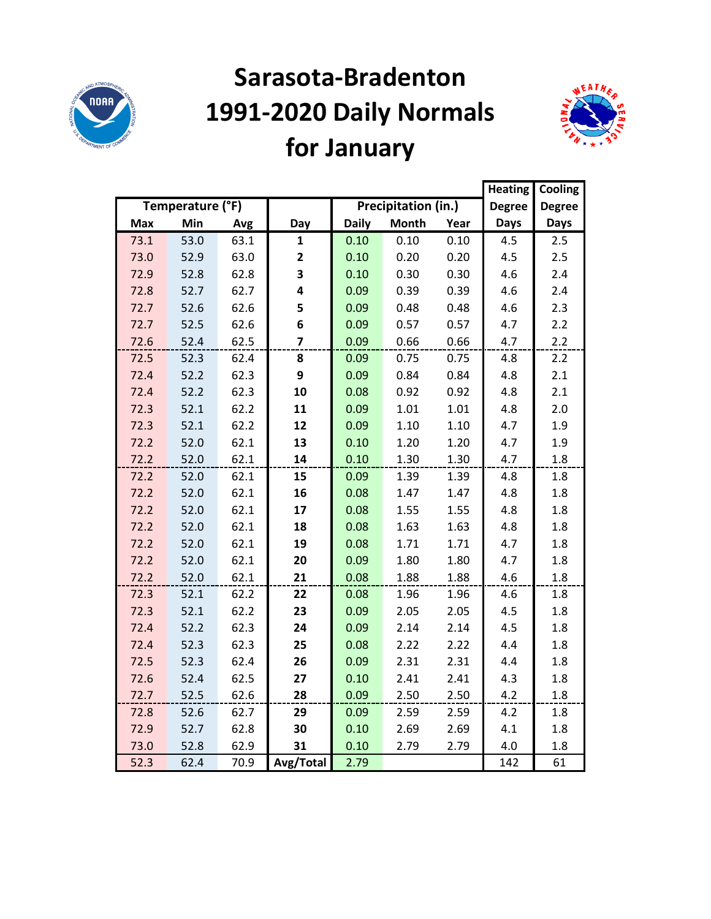

# **Sarasota-Bradenton 1991-2020 Daily Normals for January**



|            |                  |      |                         |              |                     |      | <b>Heating</b> | Cooling       |
|------------|------------------|------|-------------------------|--------------|---------------------|------|----------------|---------------|
|            | Temperature (°F) |      |                         |              | Precipitation (in.) |      | <b>Degree</b>  | <b>Degree</b> |
| <b>Max</b> | Min              | Avg  | Day                     | <b>Daily</b> | <b>Month</b>        | Year | <b>Days</b>    | <b>Days</b>   |
| 73.1       | 53.0             | 63.1 | 1                       | 0.10         | 0.10                | 0.10 | 4.5            | 2.5           |
| 73.0       | 52.9             | 63.0 | $\overline{\mathbf{2}}$ | 0.10         | 0.20                | 0.20 | 4.5            | 2.5           |
| 72.9       | 52.8             | 62.8 | 3                       | 0.10         | 0.30                | 0.30 | 4.6            | 2.4           |
| 72.8       | 52.7             | 62.7 | 4                       | 0.09         | 0.39                | 0.39 | 4.6            | 2.4           |
| 72.7       | 52.6             | 62.6 | 5                       | 0.09         | 0.48                | 0.48 | 4.6            | 2.3           |
| 72.7       | 52.5             | 62.6 | 6                       | 0.09         | 0.57                | 0.57 | 4.7            | 2.2           |
| 72.6       | 52.4             | 62.5 | $\overline{\mathbf{z}}$ | 0.09         | 0.66                | 0.66 | 4.7            | 2.2           |
| 72.5       | 52.3             | 62.4 | 8                       | 0.09         | 0.75                | 0.75 | 4.8            | 2.2           |
| 72.4       | 52.2             | 62.3 | 9                       | 0.09         | 0.84                | 0.84 | 4.8            | 2.1           |
| 72.4       | 52.2             | 62.3 | 10                      | 0.08         | 0.92                | 0.92 | 4.8            | 2.1           |
| 72.3       | 52.1             | 62.2 | 11                      | 0.09         | 1.01                | 1.01 | 4.8            | 2.0           |
| 72.3       | 52.1             | 62.2 | 12                      | 0.09         | 1.10                | 1.10 | 4.7            | 1.9           |
| 72.2       | 52.0             | 62.1 | 13                      | 0.10         | 1.20                | 1.20 | 4.7            | 1.9           |
| 72.2       | 52.0             | 62.1 | 14                      | 0.10         | 1.30                | 1.30 | 4.7            | 1.8           |
| 72.2       | 52.0             | 62.1 | 15                      | 0.09         | 1.39                | 1.39 | 4.8            | 1.8           |
| 72.2       | 52.0             | 62.1 | 16                      | 0.08         | 1.47                | 1.47 | 4.8            | 1.8           |
| 72.2       | 52.0             | 62.1 | 17                      | 0.08         | 1.55                | 1.55 | 4.8            | 1.8           |
| 72.2       | 52.0             | 62.1 | 18                      | 0.08         | 1.63                | 1.63 | 4.8            | 1.8           |
| 72.2       | 52.0             | 62.1 | 19                      | 0.08         | 1.71                | 1.71 | 4.7            | 1.8           |
| 72.2       | 52.0             | 62.1 | 20                      | 0.09         | 1.80                | 1.80 | 4.7            | 1.8           |
| 72.2       | 52.0             | 62.1 | 21                      | 0.08         | 1.88                | 1.88 | 4.6            | 1.8           |
| 72.3       | 52.1             | 62.2 | 22                      | 0.08         | 1.96                | 1.96 | 4.6            | 1.8           |
| 72.3       | 52.1             | 62.2 | 23                      | 0.09         | 2.05                | 2.05 | 4.5            | 1.8           |
| 72.4       | 52.2             | 62.3 | 24                      | 0.09         | 2.14                | 2.14 | 4.5            | 1.8           |
| 72.4       | 52.3             | 62.3 | 25                      | 0.08         | 2.22                | 2.22 | 4.4            | 1.8           |
| 72.5       | 52.3             | 62.4 | 26                      | 0.09         | 2.31                | 2.31 | 4.4            | 1.8           |
| 72.6       | 52.4             | 62.5 | 27                      | 0.10         | 2.41                | 2.41 | 4.3            | 1.8           |
| 72.7       | 52.5             | 62.6 | 28                      | 0.09         | 2.50                | 2.50 | 4.2            | 1.8           |
| 72.8       | 52.6             | 62.7 | 29                      | 0.09         | 2.59                | 2.59 | 4.2            | 1.8           |
| 72.9       | 52.7             | 62.8 | 30                      | 0.10         | 2.69                | 2.69 | 4.1            | 1.8           |
| 73.0       | 52.8             | 62.9 | 31                      | 0.10         | 2.79                | 2.79 | 4.0            | 1.8           |
| 52.3       | 62.4             | 70.9 | Avg/Total               | 2.79         |                     |      | 142            | 61            |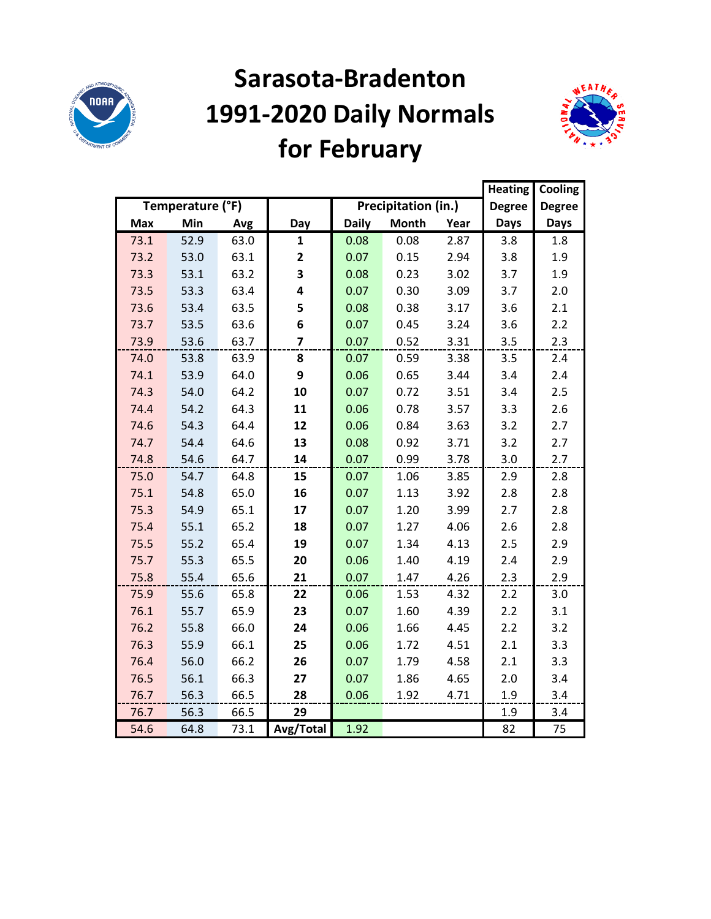

# **Sarasota-Bradenton 1991-2020 Daily Normals for February**



|            |                  |      |                         |              |                     |      | <b>Heating</b> | Cooling       |
|------------|------------------|------|-------------------------|--------------|---------------------|------|----------------|---------------|
|            | Temperature (°F) |      |                         |              | Precipitation (in.) |      | <b>Degree</b>  | <b>Degree</b> |
| <b>Max</b> | Min              | Avg  | Day                     | <b>Daily</b> | <b>Month</b>        | Year | <b>Days</b>    | <b>Days</b>   |
| 73.1       | 52.9             | 63.0 | $\mathbf{1}$            | 0.08         | 0.08                | 2.87 | 3.8            | 1.8           |
| 73.2       | 53.0             | 63.1 | $\overline{\mathbf{2}}$ | 0.07         | 0.15                | 2.94 | 3.8            | 1.9           |
| 73.3       | 53.1             | 63.2 | 3                       | 0.08         | 0.23                | 3.02 | 3.7            | 1.9           |
| 73.5       | 53.3             | 63.4 | 4                       | 0.07         | 0.30                | 3.09 | 3.7            | 2.0           |
| 73.6       | 53.4             | 63.5 | 5                       | 0.08         | 0.38                | 3.17 | 3.6            | 2.1           |
| 73.7       | 53.5             | 63.6 | 6                       | 0.07         | 0.45                | 3.24 | 3.6            | 2.2           |
| 73.9       | 53.6             | 63.7 | $\overline{\mathbf{z}}$ | 0.07         | 0.52                | 3.31 | 3.5            | 2.3           |
| 74.0       | 53.8             | 63.9 | 8                       | 0.07         | 0.59                | 3.38 | 3.5            | 2.4           |
| 74.1       | 53.9             | 64.0 | 9                       | 0.06         | 0.65                | 3.44 | 3.4            | 2.4           |
| 74.3       | 54.0             | 64.2 | 10                      | 0.07         | 0.72                | 3.51 | 3.4            | 2.5           |
| 74.4       | 54.2             | 64.3 | 11                      | 0.06         | 0.78                | 3.57 | 3.3            | 2.6           |
| 74.6       | 54.3             | 64.4 | 12                      | 0.06         | 0.84                | 3.63 | 3.2            | 2.7           |
| 74.7       | 54.4             | 64.6 | 13                      | 0.08         | 0.92                | 3.71 | 3.2            | 2.7           |
| 74.8       | 54.6             | 64.7 | 14                      | 0.07         | 0.99                | 3.78 | 3.0            | 2.7           |
| 75.0       | 54.7             | 64.8 | 15                      | 0.07         | 1.06                | 3.85 | 2.9            | 2.8           |
| 75.1       | 54.8             | 65.0 | 16                      | 0.07         | 1.13                | 3.92 | 2.8            | 2.8           |
| 75.3       | 54.9             | 65.1 | 17                      | 0.07         | 1.20                | 3.99 | 2.7            | 2.8           |
| 75.4       | 55.1             | 65.2 | 18                      | 0.07         | 1.27                | 4.06 | 2.6            | 2.8           |
| 75.5       | 55.2             | 65.4 | 19                      | 0.07         | 1.34                | 4.13 | 2.5            | 2.9           |
| 75.7       | 55.3             | 65.5 | 20                      | 0.06         | 1.40                | 4.19 | 2.4            | 2.9           |
| 75.8       | 55.4             | 65.6 | 21                      | 0.07         | 1.47                | 4.26 | 2.3            | 2.9           |
| 75.9       | 55.6             | 65.8 | 22                      | 0.06         | 1.53                | 4.32 | 2.2            | 3.0           |
| 76.1       | 55.7             | 65.9 | 23                      | 0.07         | 1.60                | 4.39 | 2.2            | 3.1           |
| 76.2       | 55.8             | 66.0 | 24                      | 0.06         | 1.66                | 4.45 | 2.2            | 3.2           |
| 76.3       | 55.9             | 66.1 | 25                      | 0.06         | 1.72                | 4.51 | 2.1            | 3.3           |
| 76.4       | 56.0             | 66.2 | 26                      | 0.07         | 1.79                | 4.58 | 2.1            | 3.3           |
| 76.5       | 56.1             | 66.3 | 27                      | 0.07         | 1.86                | 4.65 | 2.0            | 3.4           |
| 76.7       | 56.3             | 66.5 | 28                      | 0.06         | 1.92                | 4.71 | 1.9            | 3.4           |
| 76.7       | 56.3             | 66.5 | 29                      |              |                     |      | 1.9            | 3.4           |
| 54.6       | 64.8             | 73.1 | Avg/Total               | 1.92         |                     |      | 82             | 75            |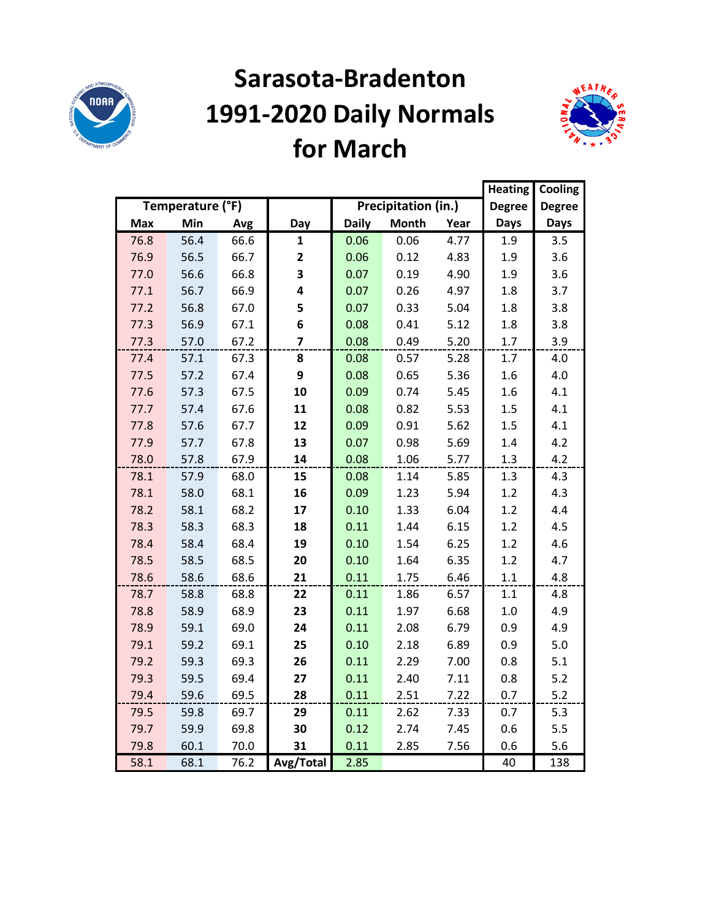

## **Sarasota-Bradenton 1991-2020 Daily Normals for March**



|            |                  |      |           |              |                     |      | <b>Heating</b> | Cooling       |
|------------|------------------|------|-----------|--------------|---------------------|------|----------------|---------------|
|            | Temperature (°F) |      |           |              | Precipitation (in.) |      | <b>Degree</b>  | <b>Degree</b> |
| <b>Max</b> | Min              | Avg  | Day       | <b>Daily</b> | <b>Month</b>        | Year | <b>Days</b>    | Days          |
| 76.8       | 56.4             | 66.6 | 1         | 0.06         | 0.06                | 4.77 | 1.9            | 3.5           |
| 76.9       | 56.5             | 66.7 | 2         | 0.06         | 0.12                | 4.83 | 1.9            | 3.6           |
| 77.0       | 56.6             | 66.8 | 3         | 0.07         | 0.19                | 4.90 | 1.9            | 3.6           |
| 77.1       | 56.7             | 66.9 | 4         | 0.07         | 0.26                | 4.97 | 1.8            | 3.7           |
| 77.2       | 56.8             | 67.0 | 5         | 0.07         | 0.33                | 5.04 | 1.8            | 3.8           |
| 77.3       | 56.9             | 67.1 | 6         | 0.08         | 0.41                | 5.12 | 1.8            | 3.8           |
| 77.3       | 57.0             | 67.2 | 7         | 0.08         | 0.49                | 5.20 | $1.7\,$        | 3.9           |
| 77.4       | 57.1             | 67.3 | 8         | 0.08         | 0.57                | 5.28 | 1.7            | 4.0           |
| 77.5       | 57.2             | 67.4 | 9         | 0.08         | 0.65                | 5.36 | 1.6            | 4.0           |
| 77.6       | 57.3             | 67.5 | 10        | 0.09         | 0.74                | 5.45 | 1.6            | 4.1           |
| 77.7       | 57.4             | 67.6 | 11        | 0.08         | 0.82                | 5.53 | 1.5            | 4.1           |
| 77.8       | 57.6             | 67.7 | 12        | 0.09         | 0.91                | 5.62 | 1.5            | 4.1           |
| 77.9       | 57.7             | 67.8 | 13        | 0.07         | 0.98                | 5.69 | 1.4            | 4.2           |
| 78.0       | 57.8             | 67.9 | 14        | 0.08         | 1.06                | 5.77 | 1.3            | 4.2           |
| 78.1       | 57.9             | 68.0 | 15        | 0.08         | 1.14                | 5.85 | 1.3            | 4.3           |
| 78.1       | 58.0             | 68.1 | 16        | 0.09         | 1.23                | 5.94 | 1.2            | 4.3           |
| 78.2       | 58.1             | 68.2 | 17        | 0.10         | 1.33                | 6.04 | 1.2            | 4.4           |
| 78.3       | 58.3             | 68.3 | 18        | 0.11         | 1.44                | 6.15 | 1.2            | 4.5           |
| 78.4       | 58.4             | 68.4 | 19        | 0.10         | 1.54                | 6.25 | 1.2            | 4.6           |
| 78.5       | 58.5             | 68.5 | 20        | 0.10         | 1.64                | 6.35 | 1.2            | 4.7           |
| 78.6       | 58.6             | 68.6 | 21        | 0.11         | 1.75                | 6.46 | 1.1            | 4.8           |
| 78.7       | 58.8             | 68.8 | 22        | 0.11         | 1.86                | 6.57 | 1.1            | 4.8           |
| 78.8       | 58.9             | 68.9 | 23        | 0.11         | 1.97                | 6.68 | $1.0\,$        | 4.9           |
| 78.9       | 59.1             | 69.0 | 24        | 0.11         | 2.08                | 6.79 | 0.9            | 4.9           |
| 79.1       | 59.2             | 69.1 | 25        | 0.10         | 2.18                | 6.89 | 0.9            | 5.0           |
| 79.2       | 59.3             | 69.3 | 26        | 0.11         | 2.29                | 7.00 | 0.8            | 5.1           |
| 79.3       | 59.5             | 69.4 | 27        | 0.11         | 2.40                | 7.11 | 0.8            | $5.2$         |
| 79.4       | 59.6             | 69.5 | 28        | 0.11         | 2.51                | 7.22 | 0.7            | 5.2           |
| 79.5       | 59.8             | 69.7 | 29        | 0.11         | 2.62                | 7.33 | 0.7            | 5.3           |
| 79.7       | 59.9             | 69.8 | 30        | 0.12         | 2.74                | 7.45 | 0.6            | 5.5           |
| 79.8       | 60.1             | 70.0 | 31        | 0.11         | 2.85                | 7.56 | 0.6            | 5.6           |
| 58.1       | 68.1             | 76.2 | Avg/Total | 2.85         |                     |      | 40             | 138           |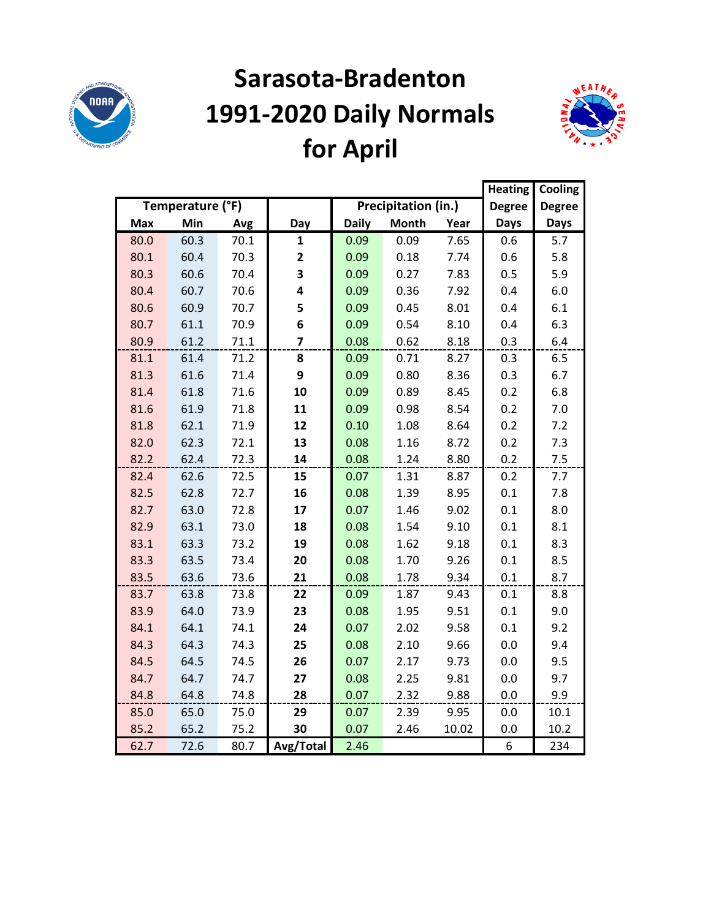

# **Sarasota-Bradenton 1991-2020 Daily Normals for April**



|            |                  |      |                |              |                     |       | <b>Heating</b> | Cooling       |
|------------|------------------|------|----------------|--------------|---------------------|-------|----------------|---------------|
|            | Temperature (°F) |      |                |              | Precipitation (in.) |       | <b>Degree</b>  | <b>Degree</b> |
| <b>Max</b> | Min              | Avg  | Day            | <b>Daily</b> | <b>Month</b>        | Year  | <b>Days</b>    | <b>Days</b>   |
| 80.0       | 60.3             | 70.1 | $\mathbf{1}$   | 0.09         | 0.09                | 7.65  | 0.6            | 5.7           |
| 80.1       | 60.4             | 70.3 | 2              | 0.09         | 0.18                | 7.74  | 0.6            | 5.8           |
| 80.3       | 60.6             | 70.4 | 3              | 0.09         | 0.27                | 7.83  | 0.5            | 5.9           |
| 80.4       | 60.7             | 70.6 | 4              | 0.09         | 0.36                | 7.92  | 0.4            | 6.0           |
| 80.6       | 60.9             | 70.7 | 5              | 0.09         | 0.45                | 8.01  | 0.4            | 6.1           |
| 80.7       | 61.1             | 70.9 | 6              | 0.09         | 0.54                | 8.10  | 0.4            | 6.3           |
| 80.9       | 61.2             | 71.1 | $\overline{7}$ | 0.08         | 0.62                | 8.18  | 0.3            | 6.4           |
| 81.1       | 61.4             | 71.2 | 8              | 0.09         | 0.71                | 8.27  | 0.3            | 6.5           |
| 81.3       | 61.6             | 71.4 | 9              | 0.09         | 0.80                | 8.36  | 0.3            | 6.7           |
| 81.4       | 61.8             | 71.6 | 10             | 0.09         | 0.89                | 8.45  | 0.2            | 6.8           |
| 81.6       | 61.9             | 71.8 | 11             | 0.09         | 0.98                | 8.54  | 0.2            | 7.0           |
| 81.8       | 62.1             | 71.9 | 12             | 0.10         | 1.08                | 8.64  | 0.2            | 7.2           |
| 82.0       | 62.3             | 72.1 | 13             | 0.08         | 1.16                | 8.72  | 0.2            | 7.3           |
| 82.2       | 62.4             | 72.3 | 14             | 0.08         | 1.24                | 8.80  | 0.2            | 7.5           |
| 82.4       | 62.6             | 72.5 | 15             | 0.07         | 1.31                | 8.87  | 0.2            | 7.7           |
| 82.5       | 62.8             | 72.7 | 16             | 0.08         | 1.39                | 8.95  | 0.1            | 7.8           |
| 82.7       | 63.0             | 72.8 | 17             | 0.07         | 1.46                | 9.02  | 0.1            | 8.0           |
| 82.9       | 63.1             | 73.0 | 18             | 0.08         | 1.54                | 9.10  | 0.1            | 8.1           |
| 83.1       | 63.3             | 73.2 | 19             | 0.08         | 1.62                | 9.18  | 0.1            | 8.3           |
| 83.3       | 63.5             | 73.4 | 20             | 0.08         | 1.70                | 9.26  | 0.1            | 8.5           |
| 83.5       | 63.6             | 73.6 | 21             | 0.08         | 1.78                | 9.34  | 0.1            | 8.7           |
| 83.7       | 63.8             | 73.8 | 22             | 0.09         | 1.87                | 9.43  | 0.1            | 8.8           |
| 83.9       | 64.0             | 73.9 | 23             | 0.08         | 1.95                | 9.51  | 0.1            | 9.0           |
| 84.1       | 64.1             | 74.1 | 24             | 0.07         | 2.02                | 9.58  | 0.1            | 9.2           |
| 84.3       | 64.3             | 74.3 | 25             | 0.08         | 2.10                | 9.66  | 0.0            | 9.4           |
| 84.5       | 64.5             | 74.5 | 26             | 0.07         | 2.17                | 9.73  | 0.0            | 9.5           |
| 84.7       | 64.7             | 74.7 | 27             | 0.08         | 2.25                | 9.81  | 0.0            | 9.7           |
| 84.8       | 64.8             | 74.8 | 28             | 0.07         | 2.32                | 9.88  | 0.0            | 9.9           |
| 85.0       | 65.0             | 75.0 | 29             | 0.07         | 2.39                | 9.95  | 0.0            | 10.1          |
| 85.2       | 65.2             | 75.2 | 30             | 0.07         | 2.46                | 10.02 | 0.0            | 10.2          |
| 62.7       | 72.6             | 80.7 | Avg/Total      | 2.46         |                     |       | 6              | 234           |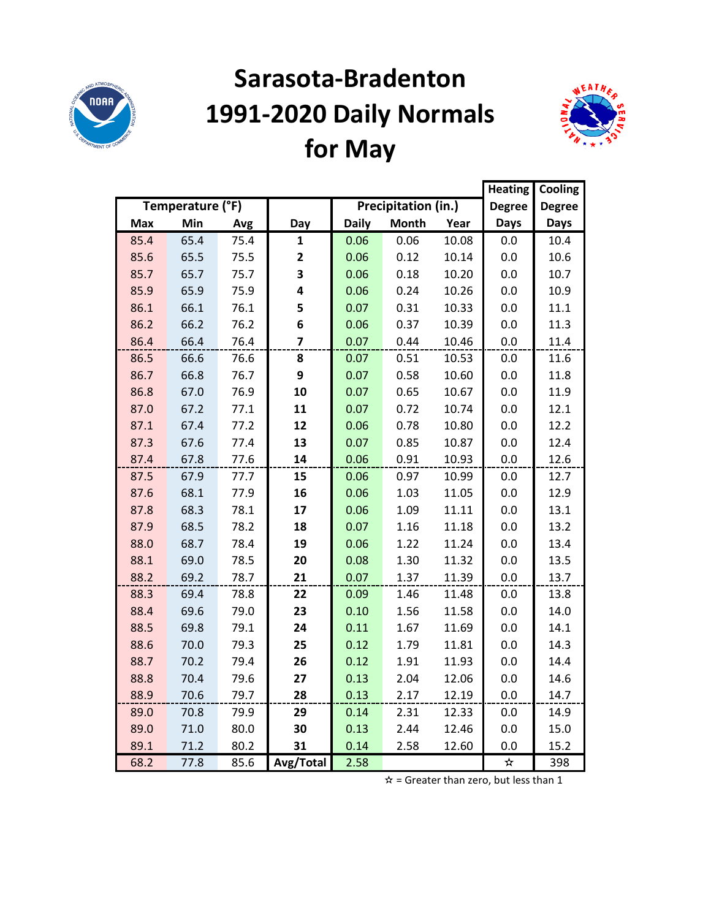

# **Sarasota-Bradenton 1991-2020 Daily Normals for May**



|            |                  |      |                         |              |                     |       | <b>Heating</b> | Cooling       |
|------------|------------------|------|-------------------------|--------------|---------------------|-------|----------------|---------------|
|            | Temperature (°F) |      |                         |              | Precipitation (in.) |       | <b>Degree</b>  | <b>Degree</b> |
| <b>Max</b> | Min              | Avg  | Day                     | <b>Daily</b> | <b>Month</b>        | Year  | <b>Days</b>    | <b>Days</b>   |
| 85.4       | 65.4             | 75.4 | 1                       | 0.06         | 0.06                | 10.08 | 0.0            | 10.4          |
| 85.6       | 65.5             | 75.5 | $\mathbf{2}$            | 0.06         | 0.12                | 10.14 | 0.0            | 10.6          |
| 85.7       | 65.7             | 75.7 | 3                       | 0.06         | 0.18                | 10.20 | 0.0            | 10.7          |
| 85.9       | 65.9             | 75.9 | 4                       | 0.06         | 0.24                | 10.26 | 0.0            | 10.9          |
| 86.1       | 66.1             | 76.1 | 5                       | 0.07         | 0.31                | 10.33 | 0.0            | 11.1          |
| 86.2       | 66.2             | 76.2 | 6                       | 0.06         | 0.37                | 10.39 | 0.0            | 11.3          |
| 86.4       | 66.4             | 76.4 | $\overline{\mathbf{z}}$ | 0.07         | 0.44                | 10.46 | 0.0            | 11.4          |
| 86.5       | 66.6             | 76.6 | 8                       | 0.07         | 0.51                | 10.53 | 0.0            | 11.6          |
| 86.7       | 66.8             | 76.7 | 9                       | 0.07         | 0.58                | 10.60 | 0.0            | 11.8          |
| 86.8       | 67.0             | 76.9 | 10                      | 0.07         | 0.65                | 10.67 | 0.0            | 11.9          |
| 87.0       | 67.2             | 77.1 | 11                      | 0.07         | 0.72                | 10.74 | 0.0            | 12.1          |
| 87.1       | 67.4             | 77.2 | 12                      | 0.06         | 0.78                | 10.80 | 0.0            | 12.2          |
| 87.3       | 67.6             | 77.4 | 13                      | 0.07         | 0.85                | 10.87 | 0.0            | 12.4          |
| 87.4       | 67.8             | 77.6 | 14                      | 0.06         | 0.91                | 10.93 | 0.0            | 12.6          |
| 87.5       | 67.9             | 77.7 | 15                      | 0.06         | 0.97                | 10.99 | 0.0            | 12.7          |
| 87.6       | 68.1             | 77.9 | 16                      | 0.06         | 1.03                | 11.05 | 0.0            | 12.9          |
| 87.8       | 68.3             | 78.1 | 17                      | 0.06         | 1.09                | 11.11 | 0.0            | 13.1          |
| 87.9       | 68.5             | 78.2 | 18                      | 0.07         | 1.16                | 11.18 | 0.0            | 13.2          |
| 88.0       | 68.7             | 78.4 | 19                      | 0.06         | 1.22                | 11.24 | 0.0            | 13.4          |
| 88.1       | 69.0             | 78.5 | 20                      | 0.08         | 1.30                | 11.32 | 0.0            | 13.5          |
| 88.2       | 69.2             | 78.7 | 21                      | 0.07         | 1.37                | 11.39 | 0.0            | 13.7          |
| 88.3       | 69.4             | 78.8 | 22                      | 0.09         | 1.46                | 11.48 | 0.0            | 13.8          |
| 88.4       | 69.6             | 79.0 | 23                      | 0.10         | 1.56                | 11.58 | 0.0            | 14.0          |
| 88.5       | 69.8             | 79.1 | 24                      | 0.11         | 1.67                | 11.69 | 0.0            | 14.1          |
| 88.6       | 70.0             | 79.3 | 25                      | 0.12         | 1.79                | 11.81 | 0.0            | 14.3          |
| 88.7       | 70.2             | 79.4 | 26                      | 0.12         | 1.91                | 11.93 | 0.0            | 14.4          |
| 88.8       | 70.4             | 79.6 | 27                      | 0.13         | 2.04                | 12.06 | 0.0            | 14.6          |
| 88.9       | 70.6             | 79.7 | 28                      | 0.13         | 2.17                | 12.19 | 0.0            | 14.7          |
| 89.0       | 70.8             | 79.9 | 29                      | 0.14         | 2.31                | 12.33 | 0.0            | 14.9          |
| 89.0       | 71.0             | 80.0 | 30                      | 0.13         | 2.44                | 12.46 | 0.0            | 15.0          |
| 89.1       | 71.2             | 80.2 | 31                      | 0.14         | 2.58                | 12.60 | 0.0            | 15.2          |
| 68.2       | 77.8             | 85.6 | Avg/Total               | 2.58         |                     |       | $\bigstar$     | 398           |

 $\hat{x}$  = Greater than zero, but less than 1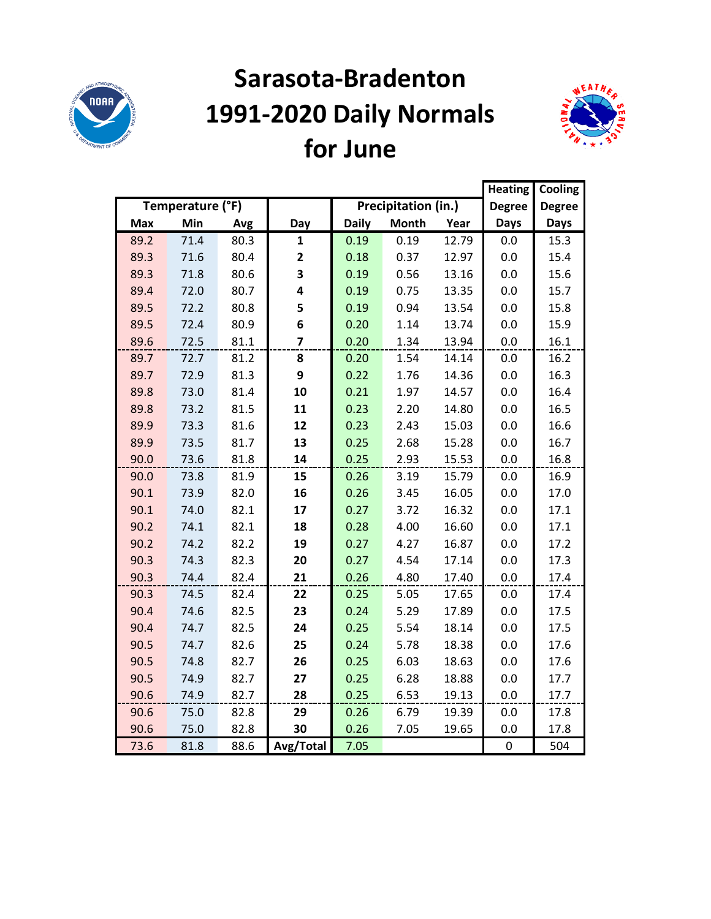

# **Sarasota-Bradenton 1991-2020 Daily Normals for June**



|            |                  |      |                |              |                     |       | <b>Heating</b> | Cooling       |
|------------|------------------|------|----------------|--------------|---------------------|-------|----------------|---------------|
|            | Temperature (°F) |      |                |              | Precipitation (in.) |       | <b>Degree</b>  | <b>Degree</b> |
| <b>Max</b> | Min              | Avg  | Day            | <b>Daily</b> | <b>Month</b>        | Year  | <b>Days</b>    | <b>Days</b>   |
| 89.2       | 71.4             | 80.3 | $\mathbf{1}$   | 0.19         | 0.19                | 12.79 | 0.0            | 15.3          |
| 89.3       | 71.6             | 80.4 | 2              | 0.18         | 0.37                | 12.97 | 0.0            | 15.4          |
| 89.3       | 71.8             | 80.6 | 3              | 0.19         | 0.56                | 13.16 | 0.0            | 15.6          |
| 89.4       | 72.0             | 80.7 | 4              | 0.19         | 0.75                | 13.35 | 0.0            | 15.7          |
| 89.5       | 72.2             | 80.8 | 5              | 0.19         | 0.94                | 13.54 | 0.0            | 15.8          |
| 89.5       | 72.4             | 80.9 | 6              | 0.20         | 1.14                | 13.74 | 0.0            | 15.9          |
| 89.6       | 72.5             | 81.1 | $\overline{7}$ | 0.20         | 1.34                | 13.94 | 0.0            | 16.1          |
| 89.7       | 72.7             | 81.2 | 8              | 0.20         | 1.54                | 14.14 | 0.0            | 16.2          |
| 89.7       | 72.9             | 81.3 | 9              | 0.22         | 1.76                | 14.36 | 0.0            | 16.3          |
| 89.8       | 73.0             | 81.4 | 10             | 0.21         | 1.97                | 14.57 | 0.0            | 16.4          |
| 89.8       | 73.2             | 81.5 | 11             | 0.23         | 2.20                | 14.80 | 0.0            | 16.5          |
| 89.9       | 73.3             | 81.6 | 12             | 0.23         | 2.43                | 15.03 | 0.0            | 16.6          |
| 89.9       | 73.5             | 81.7 | 13             | 0.25         | 2.68                | 15.28 | 0.0            | 16.7          |
| 90.0       | 73.6             | 81.8 | 14             | 0.25         | 2.93                | 15.53 | 0.0            | 16.8          |
| 90.0       | 73.8             | 81.9 | 15             | 0.26         | 3.19                | 15.79 | 0.0            | 16.9          |
| 90.1       | 73.9             | 82.0 | 16             | 0.26         | 3.45                | 16.05 | 0.0            | 17.0          |
| 90.1       | 74.0             | 82.1 | 17             | 0.27         | 3.72                | 16.32 | 0.0            | 17.1          |
| 90.2       | 74.1             | 82.1 | 18             | 0.28         | 4.00                | 16.60 | 0.0            | 17.1          |
| 90.2       | 74.2             | 82.2 | 19             | 0.27         | 4.27                | 16.87 | 0.0            | 17.2          |
| 90.3       | 74.3             | 82.3 | 20             | 0.27         | 4.54                | 17.14 | 0.0            | 17.3          |
| 90.3       | 74.4             | 82.4 | 21             | 0.26         | 4.80                | 17.40 | 0.0            | 17.4          |
| 90.3       | 74.5             | 82.4 | 22             | 0.25         | 5.05                | 17.65 | 0.0            | 17.4          |
| 90.4       | 74.6             | 82.5 | 23             | 0.24         | 5.29                | 17.89 | 0.0            | 17.5          |
| 90.4       | 74.7             | 82.5 | 24             | 0.25         | 5.54                | 18.14 | 0.0            | 17.5          |
| 90.5       | 74.7             | 82.6 | 25             | 0.24         | 5.78                | 18.38 | 0.0            | 17.6          |
| 90.5       | 74.8             | 82.7 | 26             | 0.25         | 6.03                | 18.63 | 0.0            | 17.6          |
| 90.5       | 74.9             | 82.7 | 27             | 0.25         | 6.28                | 18.88 | 0.0            | 17.7          |
| 90.6       | 74.9             | 82.7 | 28             | 0.25         | 6.53                | 19.13 | 0.0            | 17.7          |
| 90.6       | 75.0             | 82.8 | 29             | 0.26         | 6.79                | 19.39 | 0.0            | 17.8          |
| 90.6       | 75.0             | 82.8 | 30             | 0.26         | 7.05                | 19.65 | 0.0            | 17.8          |
| 73.6       | 81.8             | 88.6 | Avg/Total      | 7.05         |                     |       | $\pmb{0}$      | 504           |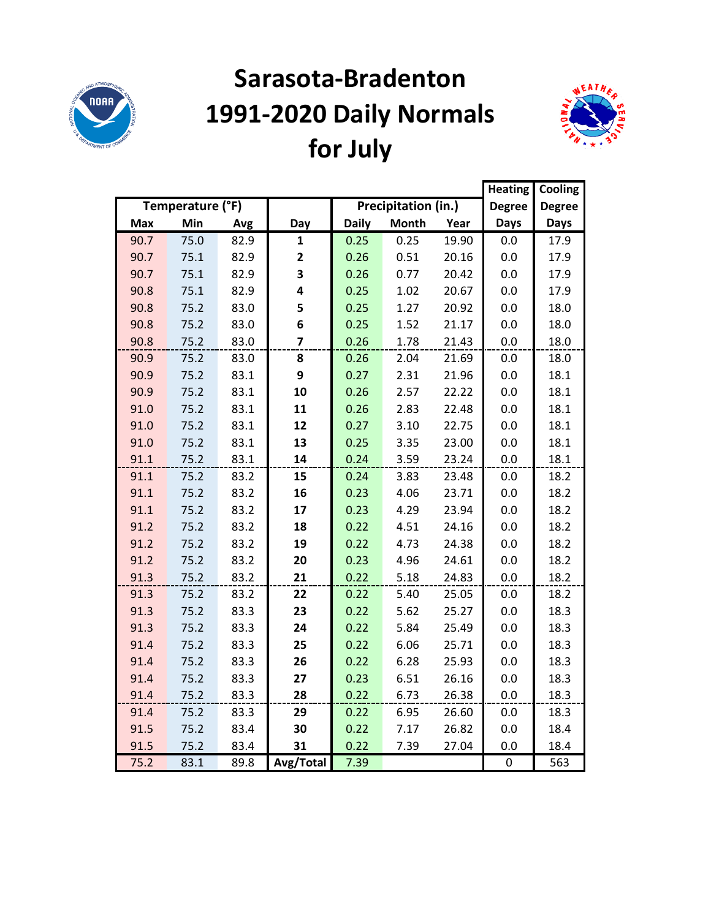

# **Sarasota-Bradenton 1991-2020 Daily Normals for July**



|      |                  |      |              |              |                     |       | <b>Heating</b> | Cooling       |
|------|------------------|------|--------------|--------------|---------------------|-------|----------------|---------------|
|      | Temperature (°F) |      |              |              | Precipitation (in.) |       | <b>Degree</b>  | <b>Degree</b> |
| Max  | Min              | Avg  | Day          | <b>Daily</b> | <b>Month</b>        | Year  | <b>Days</b>    | <b>Days</b>   |
| 90.7 | 75.0             | 82.9 | 1            | 0.25         | 0.25                | 19.90 | 0.0            | 17.9          |
| 90.7 | 75.1             | 82.9 | $\mathbf{2}$ | 0.26         | 0.51                | 20.16 | 0.0            | 17.9          |
| 90.7 | 75.1             | 82.9 | 3            | 0.26         | 0.77                | 20.42 | 0.0            | 17.9          |
| 90.8 | 75.1             | 82.9 | 4            | 0.25         | 1.02                | 20.67 | 0.0            | 17.9          |
| 90.8 | 75.2             | 83.0 | 5            | 0.25         | 1.27                | 20.92 | 0.0            | 18.0          |
| 90.8 | 75.2             | 83.0 | 6            | 0.25         | 1.52                | 21.17 | 0.0            | 18.0          |
| 90.8 | 75.2             | 83.0 | 7            | 0.26         | 1.78                | 21.43 | 0.0            | 18.0          |
| 90.9 | 75.2             | 83.0 | 8            | 0.26         | 2.04                | 21.69 | 0.0            | 18.0          |
| 90.9 | 75.2             | 83.1 | 9            | 0.27         | 2.31                | 21.96 | 0.0            | 18.1          |
| 90.9 | 75.2             | 83.1 | 10           | 0.26         | 2.57                | 22.22 | 0.0            | 18.1          |
| 91.0 | 75.2             | 83.1 | 11           | 0.26         | 2.83                | 22.48 | 0.0            | 18.1          |
| 91.0 | 75.2             | 83.1 | 12           | 0.27         | 3.10                | 22.75 | 0.0            | 18.1          |
| 91.0 | 75.2             | 83.1 | 13           | 0.25         | 3.35                | 23.00 | 0.0            | 18.1          |
| 91.1 | 75.2             | 83.1 | 14           | 0.24         | 3.59                | 23.24 | 0.0            | 18.1          |
| 91.1 | 75.2             | 83.2 | 15           | 0.24         | 3.83                | 23.48 | 0.0            | 18.2          |
| 91.1 | 75.2             | 83.2 | 16           | 0.23         | 4.06                | 23.71 | 0.0            | 18.2          |
| 91.1 | 75.2             | 83.2 | 17           | 0.23         | 4.29                | 23.94 | 0.0            | 18.2          |
| 91.2 | 75.2             | 83.2 | 18           | 0.22         | 4.51                | 24.16 | 0.0            | 18.2          |
| 91.2 | 75.2             | 83.2 | 19           | 0.22         | 4.73                | 24.38 | 0.0            | 18.2          |
| 91.2 | 75.2             | 83.2 | 20           | 0.23         | 4.96                | 24.61 | 0.0            | 18.2          |
| 91.3 | 75.2             | 83.2 | 21           | 0.22         | 5.18                | 24.83 | 0.0            | 18.2          |
| 91.3 | 75.2             | 83.2 | 22           | 0.22         | 5.40                | 25.05 | 0.0            | 18.2          |
| 91.3 | 75.2             | 83.3 | 23           | 0.22         | 5.62                | 25.27 | 0.0            | 18.3          |
| 91.3 | 75.2             | 83.3 | 24           | 0.22         | 5.84                | 25.49 | 0.0            | 18.3          |
| 91.4 | 75.2             | 83.3 | 25           | 0.22         | 6.06                | 25.71 | 0.0            | 18.3          |
| 91.4 | 75.2             | 83.3 | 26           | 0.22         | 6.28                | 25.93 | 0.0            | 18.3          |
| 91.4 | 75.2             | 83.3 | 27           | 0.23         | 6.51                | 26.16 | 0.0            | 18.3          |
| 91.4 | 75.2             | 83.3 | 28           | 0.22         | 6.73                | 26.38 | 0.0            | 18.3          |
| 91.4 | 75.2             | 83.3 | 29           | 0.22         | 6.95                | 26.60 | 0.0            | 18.3          |
| 91.5 | 75.2             | 83.4 | 30           | 0.22         | 7.17                | 26.82 | 0.0            | 18.4          |
| 91.5 | 75.2             | 83.4 | 31           | 0.22         | 7.39                | 27.04 | 0.0            | 18.4          |
| 75.2 | 83.1             | 89.8 | Avg/Total    | 7.39         |                     |       | 0              | 563           |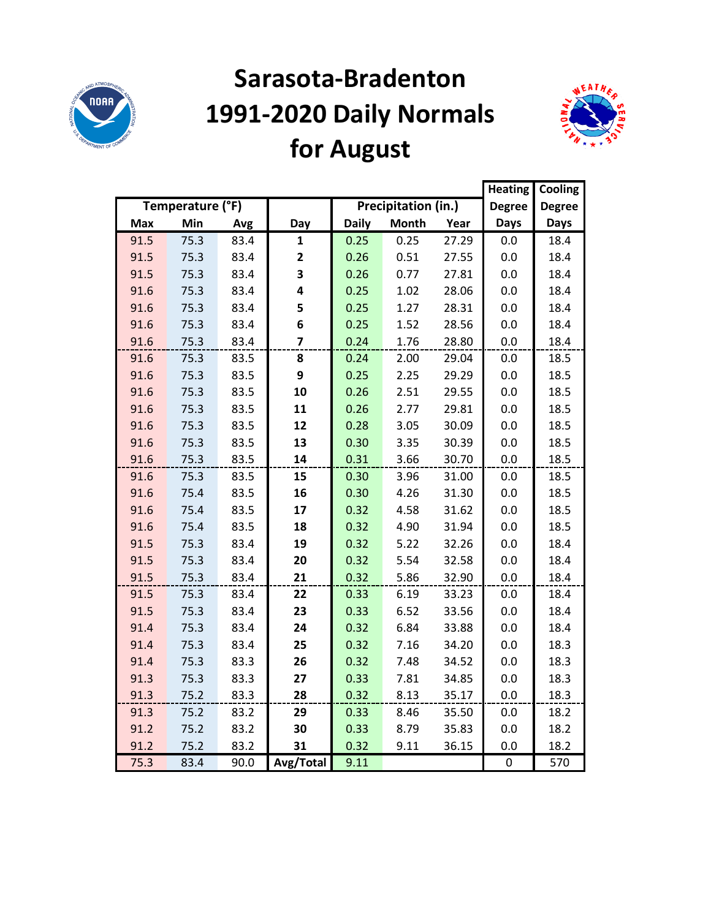

# **Sarasota-Bradenton 1991-2020 Daily Normals for August**



|            |                  |      |              |              |                     |       | <b>Heating</b> | Cooling       |
|------------|------------------|------|--------------|--------------|---------------------|-------|----------------|---------------|
|            | Temperature (°F) |      |              |              | Precipitation (in.) |       | <b>Degree</b>  | <b>Degree</b> |
| <b>Max</b> | Min              | Avg  | Day          | <b>Daily</b> | <b>Month</b>        | Year  | <b>Days</b>    | <b>Days</b>   |
| 91.5       | 75.3             | 83.4 | 1            | 0.25         | 0.25                | 27.29 | 0.0            | 18.4          |
| 91.5       | 75.3             | 83.4 | $\mathbf{2}$ | 0.26         | 0.51                | 27.55 | 0.0            | 18.4          |
| 91.5       | 75.3             | 83.4 | 3            | 0.26         | 0.77                | 27.81 | 0.0            | 18.4          |
| 91.6       | 75.3             | 83.4 | 4            | 0.25         | 1.02                | 28.06 | 0.0            | 18.4          |
| 91.6       | 75.3             | 83.4 | 5            | 0.25         | 1.27                | 28.31 | 0.0            | 18.4          |
| 91.6       | 75.3             | 83.4 | 6            | 0.25         | 1.52                | 28.56 | 0.0            | 18.4          |
| 91.6       | 75.3             | 83.4 | 7            | 0.24         | 1.76                | 28.80 | 0.0            | 18.4          |
| 91.6       | 75.3             | 83.5 | 8            | 0.24         | 2.00                | 29.04 | 0.0            | 18.5          |
| 91.6       | 75.3             | 83.5 | 9            | 0.25         | 2.25                | 29.29 | 0.0            | 18.5          |
| 91.6       | 75.3             | 83.5 | 10           | 0.26         | 2.51                | 29.55 | 0.0            | 18.5          |
| 91.6       | 75.3             | 83.5 | 11           | 0.26         | 2.77                | 29.81 | 0.0            | 18.5          |
| 91.6       | 75.3             | 83.5 | 12           | 0.28         | 3.05                | 30.09 | 0.0            | 18.5          |
| 91.6       | 75.3             | 83.5 | 13           | 0.30         | 3.35                | 30.39 | 0.0            | 18.5          |
| 91.6       | 75.3             | 83.5 | 14           | 0.31         | 3.66                | 30.70 | 0.0            | 18.5          |
| 91.6       | 75.3             | 83.5 | 15           | 0.30         | 3.96                | 31.00 | 0.0            | 18.5          |
| 91.6       | 75.4             | 83.5 | 16           | 0.30         | 4.26                | 31.30 | 0.0            | 18.5          |
| 91.6       | 75.4             | 83.5 | 17           | 0.32         | 4.58                | 31.62 | 0.0            | 18.5          |
| 91.6       | 75.4             | 83.5 | 18           | 0.32         | 4.90                | 31.94 | 0.0            | 18.5          |
| 91.5       | 75.3             | 83.4 | 19           | 0.32         | 5.22                | 32.26 | 0.0            | 18.4          |
| 91.5       | 75.3             | 83.4 | 20           | 0.32         | 5.54                | 32.58 | 0.0            | 18.4          |
| 91.5       | 75.3             | 83.4 | 21           | 0.32         | 5.86                | 32.90 | 0.0            | 18.4          |
| 91.5       | 75.3             | 83.4 | 22           | 0.33         | 6.19                | 33.23 | 0.0            | 18.4          |
| 91.5       | 75.3             | 83.4 | 23           | 0.33         | 6.52                | 33.56 | 0.0            | 18.4          |
| 91.4       | 75.3             | 83.4 | 24           | 0.32         | 6.84                | 33.88 | 0.0            | 18.4          |
| 91.4       | 75.3             | 83.4 | 25           | 0.32         | 7.16                | 34.20 | 0.0            | 18.3          |
| 91.4       | 75.3             | 83.3 | 26           | 0.32         | 7.48                | 34.52 | 0.0            | 18.3          |
| 91.3       | 75.3             | 83.3 | 27           | 0.33         | 7.81                | 34.85 | 0.0            | 18.3          |
| 91.3       | 75.2             | 83.3 | 28           | 0.32         | 8.13                | 35.17 | 0.0            | 18.3          |
| 91.3       | 75.2             | 83.2 | 29           | 0.33         | 8.46                | 35.50 | 0.0            | 18.2          |
| 91.2       | 75.2             | 83.2 | 30           | 0.33         | 8.79                | 35.83 | 0.0            | 18.2          |
| 91.2       | 75.2             | 83.2 | 31           | 0.32         | 9.11                | 36.15 | 0.0            | 18.2          |
| 75.3       | 83.4             | 90.0 | Avg/Total    | 9.11         |                     |       | 0              | 570           |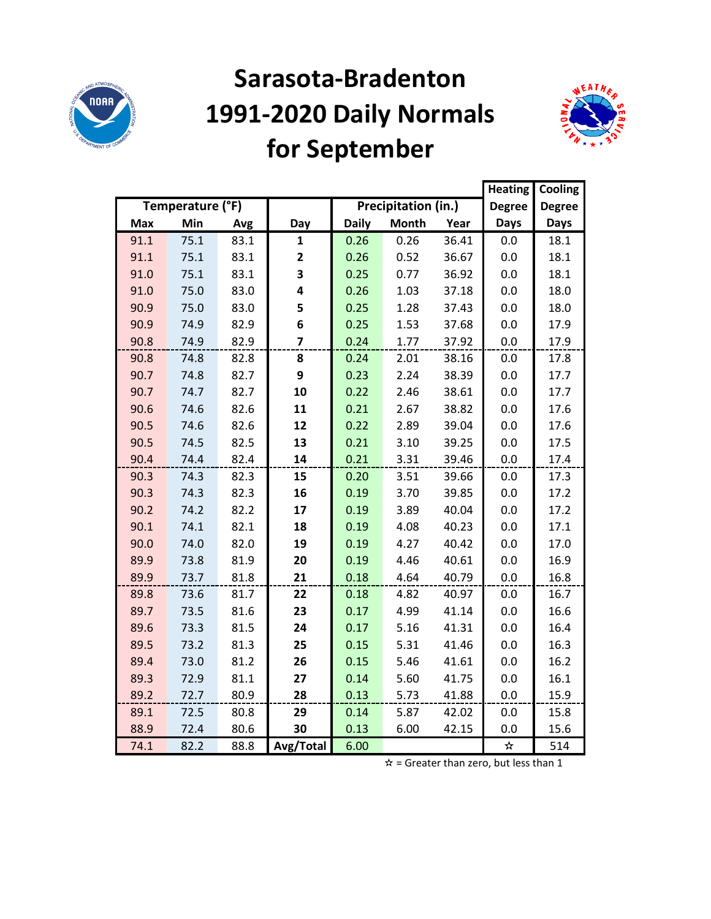

#### **Sarasota-Bradenton 1991-2020 Daily Normals for September**



|            |                  |      |                |              |                     |       |               | Cooling       |
|------------|------------------|------|----------------|--------------|---------------------|-------|---------------|---------------|
|            | Temperature (°F) |      |                |              | Precipitation (in.) |       | <b>Degree</b> | <b>Degree</b> |
| <b>Max</b> | Min              | Avg  | Day            | <b>Daily</b> | <b>Month</b>        | Year  | <b>Days</b>   | <b>Days</b>   |
| 91.1       | 75.1             | 83.1 | $\mathbf{1}$   | 0.26         | 0.26                | 36.41 | 0.0           | 18.1          |
| 91.1       | 75.1             | 83.1 | $\mathbf{2}$   | 0.26         | 0.52                | 36.67 | 0.0           | 18.1          |
| 91.0       | 75.1             | 83.1 | 3              | 0.25         | 0.77                | 36.92 | 0.0           | 18.1          |
| 91.0       | 75.0             | 83.0 | 4              | 0.26         | 1.03                | 37.18 | 0.0           | 18.0          |
| 90.9       | 75.0             | 83.0 | 5              | 0.25         | 1.28                | 37.43 | 0.0           | 18.0          |
| 90.9       | 74.9             | 82.9 | 6              | 0.25         | 1.53                | 37.68 | 0.0           | 17.9          |
| 90.8       | 74.9             | 82.9 | $\overline{7}$ | 0.24         | 1.77                | 37.92 | 0.0           | 17.9          |
| 90.8       | 74.8             | 82.8 | 8              | 0.24         | 2.01                | 38.16 | 0.0           | 17.8          |
| 90.7       | 74.8             | 82.7 | 9              | 0.23         | 2.24                | 38.39 | 0.0           | 17.7          |
| 90.7       | 74.7             | 82.7 | 10             | 0.22         | 2.46                | 38.61 | 0.0           | 17.7          |
| 90.6       | 74.6             | 82.6 | 11             | 0.21         | 2.67                | 38.82 | 0.0           | 17.6          |
| 90.5       | 74.6             | 82.6 | 12             | 0.22         | 2.89                | 39.04 | 0.0           | 17.6          |
| 90.5       | 74.5             | 82.5 | 13             | 0.21         | 3.10                | 39.25 | 0.0           | 17.5          |
| 90.4       | 74.4             | 82.4 | 14             | 0.21         | 3.31                | 39.46 | 0.0           | 17.4          |
| 90.3       | 74.3             | 82.3 | 15             | 0.20         | 3.51                | 39.66 | 0.0           | 17.3          |
| 90.3       | 74.3             | 82.3 | 16             | 0.19         | 3.70                | 39.85 | 0.0           | 17.2          |
| 90.2       | 74.2             | 82.2 | 17             | 0.19         | 3.89                | 40.04 | 0.0           | 17.2          |
| 90.1       | 74.1             | 82.1 | 18             | 0.19         | 4.08                | 40.23 | 0.0           | 17.1          |
| 90.0       | 74.0             | 82.0 | 19             | 0.19         | 4.27                | 40.42 | 0.0           | 17.0          |
| 89.9       | 73.8             | 81.9 | 20             | 0.19         | 4.46                | 40.61 | 0.0           | 16.9          |
| 89.9       | 73.7             | 81.8 | 21             | 0.18         | 4.64                | 40.79 | 0.0           | 16.8          |
| 89.8       | 73.6             | 81.7 | 22             | 0.18         | 4.82                | 40.97 | 0.0           | 16.7          |
| 89.7       | 73.5             | 81.6 | 23             | 0.17         | 4.99                | 41.14 | 0.0           | 16.6          |
| 89.6       | 73.3             | 81.5 | 24             | 0.17         | 5.16                | 41.31 | 0.0           | 16.4          |
| 89.5       | 73.2             | 81.3 | 25             | 0.15         | 5.31                | 41.46 | 0.0           | 16.3          |
| 89.4       | 73.0             | 81.2 | 26             | 0.15         | 5.46                | 41.61 | 0.0           | 16.2          |
| 89.3       | 72.9             | 81.1 | 27             | 0.14         | 5.60                | 41.75 | 0.0           | 16.1          |
| 89.2       | 72.7             | 80.9 | 28             | 0.13         | 5.73                | 41.88 | 0.0           | 15.9          |
| 89.1       | 72.5             | 80.8 | 29             | 0.14         | 5.87                | 42.02 | 0.0           | 15.8          |
| 88.9       | 72.4             | 80.6 | 30             | 0.13         | 6.00                | 42.15 | 0.0           | 15.6          |
| 74.1       | 82.2             | 88.8 | Avg/Total      | 6.00         |                     |       | ☆             | 514           |

 $\hat{x}$  = Greater than zero, but less than 1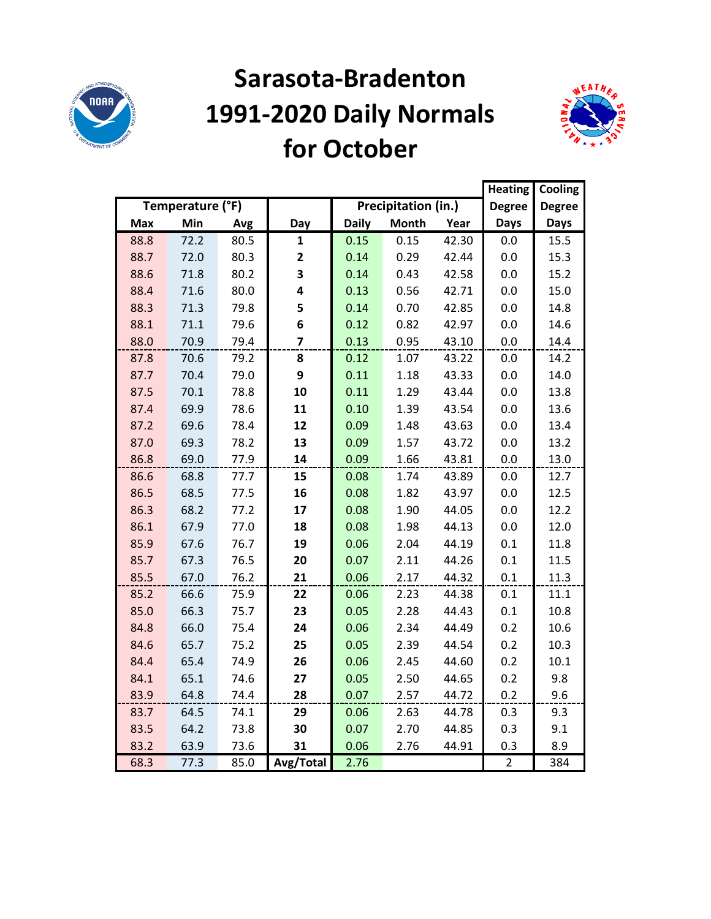

#### **Sarasota-Bradenton 1991-2020 Daily Normals for October**



|            |                  |      |                         |              |                     |       | <b>Heating</b> | Cooling       |
|------------|------------------|------|-------------------------|--------------|---------------------|-------|----------------|---------------|
|            | Temperature (°F) |      |                         |              | Precipitation (in.) |       | <b>Degree</b>  | <b>Degree</b> |
| <b>Max</b> | Min              | Avg  | Day                     | <b>Daily</b> | <b>Month</b>        | Year  | <b>Days</b>    | <b>Days</b>   |
| 88.8       | 72.2             | 80.5 | 1                       | 0.15         | 0.15                | 42.30 | 0.0            | 15.5          |
| 88.7       | 72.0             | 80.3 | $\mathbf{2}$            | 0.14         | 0.29                | 42.44 | 0.0            | 15.3          |
| 88.6       | 71.8             | 80.2 | 3                       | 0.14         | 0.43                | 42.58 | 0.0            | 15.2          |
| 88.4       | 71.6             | 80.0 | 4                       | 0.13         | 0.56                | 42.71 | 0.0            | 15.0          |
| 88.3       | 71.3             | 79.8 | 5                       | 0.14         | 0.70                | 42.85 | 0.0            | 14.8          |
| 88.1       | 71.1             | 79.6 | 6                       | 0.12         | 0.82                | 42.97 | 0.0            | 14.6          |
| 88.0       | 70.9             | 79.4 | $\overline{\mathbf{z}}$ | 0.13         | 0.95                | 43.10 | 0.0            | 14.4          |
| 87.8       | 70.6             | 79.2 | 8                       | 0.12         | 1.07                | 43.22 | 0.0            | 14.2          |
| 87.7       | 70.4             | 79.0 | 9                       | 0.11         | 1.18                | 43.33 | 0.0            | 14.0          |
| 87.5       | 70.1             | 78.8 | 10                      | 0.11         | 1.29                | 43.44 | 0.0            | 13.8          |
| 87.4       | 69.9             | 78.6 | 11                      | 0.10         | 1.39                | 43.54 | 0.0            | 13.6          |
| 87.2       | 69.6             | 78.4 | 12                      | 0.09         | 1.48                | 43.63 | 0.0            | 13.4          |
| 87.0       | 69.3             | 78.2 | 13                      | 0.09         | 1.57                | 43.72 | 0.0            | 13.2          |
| 86.8       | 69.0             | 77.9 | 14                      | 0.09         | 1.66                | 43.81 | 0.0            | 13.0          |
| 86.6       | 68.8             | 77.7 | 15                      | 0.08         | 1.74                | 43.89 | 0.0            | 12.7          |
| 86.5       | 68.5             | 77.5 | 16                      | 0.08         | 1.82                | 43.97 | 0.0            | 12.5          |
| 86.3       | 68.2             | 77.2 | 17                      | 0.08         | 1.90                | 44.05 | 0.0            | 12.2          |
| 86.1       | 67.9             | 77.0 | 18                      | 0.08         | 1.98                | 44.13 | 0.0            | 12.0          |
| 85.9       | 67.6             | 76.7 | 19                      | 0.06         | 2.04                | 44.19 | 0.1            | 11.8          |
| 85.7       | 67.3             | 76.5 | 20                      | 0.07         | 2.11                | 44.26 | 0.1            | 11.5          |
| 85.5       | 67.0             | 76.2 | 21                      | 0.06         | 2.17                | 44.32 | 0.1            | 11.3          |
| 85.2       | 66.6             | 75.9 | 22                      | 0.06         | 2.23                | 44.38 | 0.1            | 11.1          |
| 85.0       | 66.3             | 75.7 | 23                      | 0.05         | 2.28                | 44.43 | 0.1            | 10.8          |
| 84.8       | 66.0             | 75.4 | 24                      | 0.06         | 2.34                | 44.49 | 0.2            | 10.6          |
| 84.6       | 65.7             | 75.2 | 25                      | 0.05         | 2.39                | 44.54 | 0.2            | 10.3          |
| 84.4       | 65.4             | 74.9 | 26                      | 0.06         | 2.45                | 44.60 | 0.2            | 10.1          |
| 84.1       | 65.1             | 74.6 | 27                      | 0.05         | 2.50                | 44.65 | 0.2            | 9.8           |
| 83.9       | 64.8             | 74.4 | 28                      | 0.07         | 2.57                | 44.72 | 0.2            | 9.6           |
| 83.7       | 64.5             | 74.1 | 29                      | 0.06         | 2.63                | 44.78 | 0.3            | 9.3           |
| 83.5       | 64.2             | 73.8 | 30                      | 0.07         | 2.70                | 44.85 | 0.3            | 9.1           |
| 83.2       | 63.9             | 73.6 | 31                      | 0.06         | 2.76                | 44.91 | 0.3            | 8.9           |
| 68.3       | 77.3             | 85.0 | Avg/Total               | 2.76         |                     |       | $\overline{2}$ | 384           |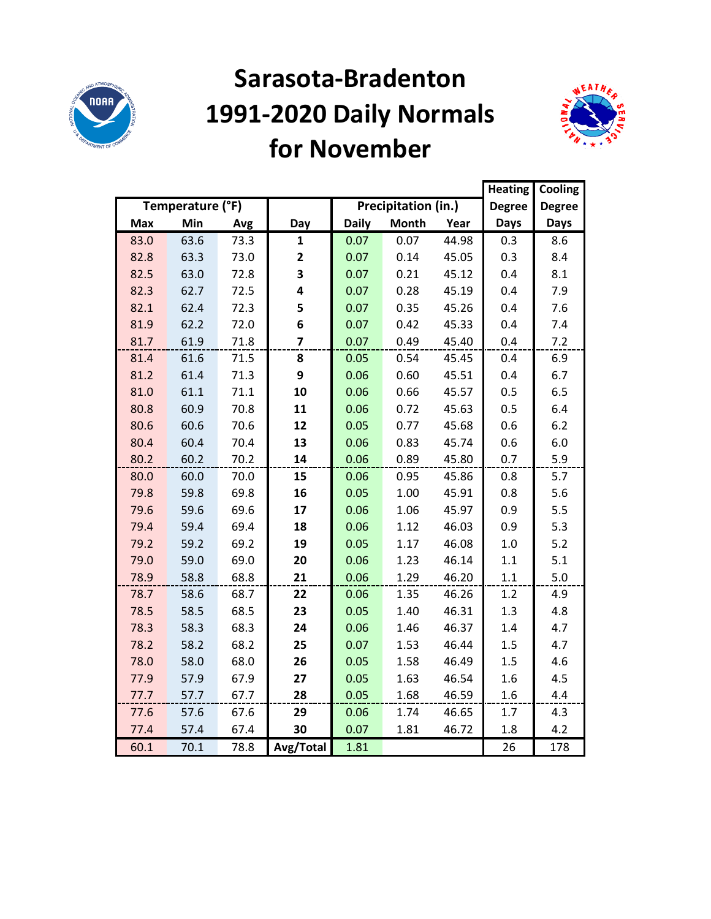

#### **Sarasota-Bradenton 1991-2020 Daily Normals for November**



|            |                  |      |                |              |                     |       | <b>Heating</b> | Cooling       |
|------------|------------------|------|----------------|--------------|---------------------|-------|----------------|---------------|
|            | Temperature (°F) |      |                |              | Precipitation (in.) |       | <b>Degree</b>  | <b>Degree</b> |
| <b>Max</b> | Min              | Avg  | Day            | <b>Daily</b> | <b>Month</b>        | Year  | <b>Days</b>    | <b>Days</b>   |
| 83.0       | 63.6             | 73.3 | $\mathbf{1}$   | 0.07         | 0.07                | 44.98 | 0.3            | 8.6           |
| 82.8       | 63.3             | 73.0 | $\mathbf{2}$   | 0.07         | 0.14                | 45.05 | 0.3            | 8.4           |
| 82.5       | 63.0             | 72.8 | 3              | 0.07         | 0.21                | 45.12 | 0.4            | 8.1           |
| 82.3       | 62.7             | 72.5 | 4              | 0.07         | 0.28                | 45.19 | 0.4            | 7.9           |
| 82.1       | 62.4             | 72.3 | 5              | 0.07         | 0.35                | 45.26 | 0.4            | 7.6           |
| 81.9       | 62.2             | 72.0 | 6              | 0.07         | 0.42                | 45.33 | 0.4            | 7.4           |
| 81.7       | 61.9             | 71.8 | $\overline{7}$ | 0.07         | 0.49                | 45.40 | 0.4            | 7.2           |
| 81.4       | 61.6             | 71.5 | 8              | 0.05         | 0.54                | 45.45 | 0.4            | 6.9           |
| 81.2       | 61.4             | 71.3 | 9              | 0.06         | 0.60                | 45.51 | 0.4            | 6.7           |
| 81.0       | 61.1             | 71.1 | 10             | 0.06         | 0.66                | 45.57 | 0.5            | 6.5           |
| 80.8       | 60.9             | 70.8 | 11             | 0.06         | 0.72                | 45.63 | 0.5            | 6.4           |
| 80.6       | 60.6             | 70.6 | 12             | 0.05         | 0.77                | 45.68 | 0.6            | 6.2           |
| 80.4       | 60.4             | 70.4 | 13             | 0.06         | 0.83                | 45.74 | 0.6            | 6.0           |
| 80.2       | 60.2             | 70.2 | 14             | 0.06         | 0.89                | 45.80 | 0.7            | 5.9           |
| 80.0       | 60.0             | 70.0 | 15             | 0.06         | 0.95                | 45.86 | 0.8            | 5.7           |
| 79.8       | 59.8             | 69.8 | 16             | 0.05         | 1.00                | 45.91 | 0.8            | 5.6           |
| 79.6       | 59.6             | 69.6 | 17             | 0.06         | 1.06                | 45.97 | 0.9            | 5.5           |
| 79.4       | 59.4             | 69.4 | 18             | 0.06         | 1.12                | 46.03 | 0.9            | 5.3           |
| 79.2       | 59.2             | 69.2 | 19             | 0.05         | 1.17                | 46.08 | 1.0            | 5.2           |
| 79.0       | 59.0             | 69.0 | 20             | 0.06         | 1.23                | 46.14 | 1.1            | 5.1           |
| 78.9       | 58.8             | 68.8 | 21             | 0.06         | 1.29                | 46.20 | 1.1            | 5.0           |
| 78.7       | 58.6             | 68.7 | 22             | 0.06         | 1.35                | 46.26 | $1.2\,$        | 4.9           |
| 78.5       | 58.5             | 68.5 | 23             | 0.05         | 1.40                | 46.31 | 1.3            | 4.8           |
| 78.3       | 58.3             | 68.3 | 24             | 0.06         | 1.46                | 46.37 | 1.4            | 4.7           |
| 78.2       | 58.2             | 68.2 | 25             | 0.07         | 1.53                | 46.44 | 1.5            | 4.7           |
| 78.0       | 58.0             | 68.0 | 26             | 0.05         | 1.58                | 46.49 | 1.5            | 4.6           |
| 77.9       | 57.9             | 67.9 | 27             | 0.05         | 1.63                | 46.54 | 1.6            | 4.5           |
| 77.7       | 57.7             | 67.7 | 28             | 0.05         | 1.68                | 46.59 | 1.6            | 4.4           |
| 77.6       | 57.6             | 67.6 | 29             | 0.06         | 1.74                | 46.65 | 1.7            | 4.3           |
| 77.4       | 57.4             | 67.4 | 30             | 0.07         | 1.81                | 46.72 | 1.8            | 4.2           |
| 60.1       | 70.1             | 78.8 | Avg/Total      | 1.81         |                     |       | 26             | 178           |